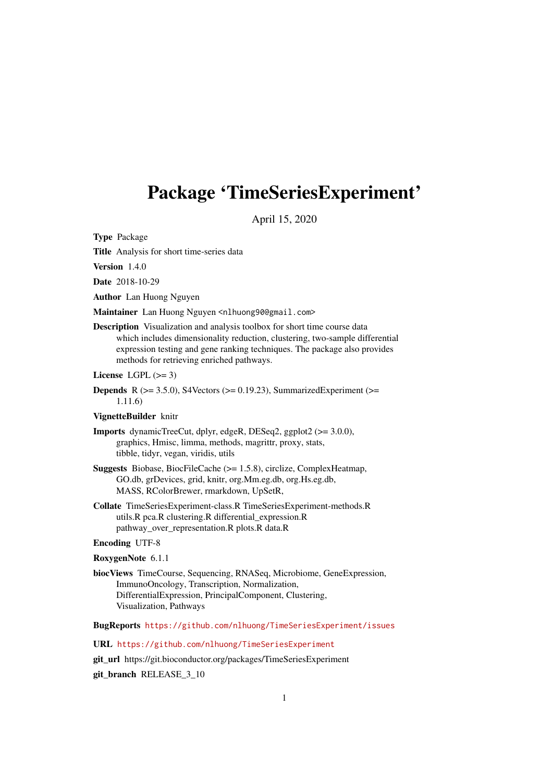# <span id="page-0-0"></span>Package 'TimeSeriesExperiment'

April 15, 2020

Type Package

Title Analysis for short time-series data

Version 1.4.0

Date 2018-10-29

Author Lan Huong Nguyen

Maintainer Lan Huong Nguyen <nlhuong90@gmail.com>

Description Visualization and analysis toolbox for short time course data which includes dimensionality reduction, clustering, two-sample differential expression testing and gene ranking techniques. The package also provides methods for retrieving enriched pathways.

License LGPL  $(>= 3)$ 

**Depends** R  $(>= 3.5.0)$ , S4Vectors  $(>= 0.19.23)$ , SummarizedExperiment  $(>=$ 1.11.6)

#### VignetteBuilder knitr

- Imports dynamicTreeCut, dplyr, edgeR, DESeq2, ggplot2 (>= 3.0.0), graphics, Hmisc, limma, methods, magrittr, proxy, stats, tibble, tidyr, vegan, viridis, utils
- Suggests Biobase, BiocFileCache (>= 1.5.8), circlize, ComplexHeatmap, GO.db, grDevices, grid, knitr, org.Mm.eg.db, org.Hs.eg.db, MASS, RColorBrewer, rmarkdown, UpSetR,
- Collate TimeSeriesExperiment-class.R TimeSeriesExperiment-methods.R utils.R pca.R clustering.R differential\_expression.R pathway\_over\_representation.R plots.R data.R

#### Encoding UTF-8

#### RoxygenNote 6.1.1

biocViews TimeCourse, Sequencing, RNASeq, Microbiome, GeneExpression, ImmunoOncology, Transcription, Normalization, DifferentialExpression, PrincipalComponent, Clustering, Visualization, Pathways

BugReports <https://github.com/nlhuong/TimeSeriesExperiment/issues>

URL <https://github.com/nlhuong/TimeSeriesExperiment>

git\_url https://git.bioconductor.org/packages/TimeSeriesExperiment

git\_branch RELEASE\_3\_10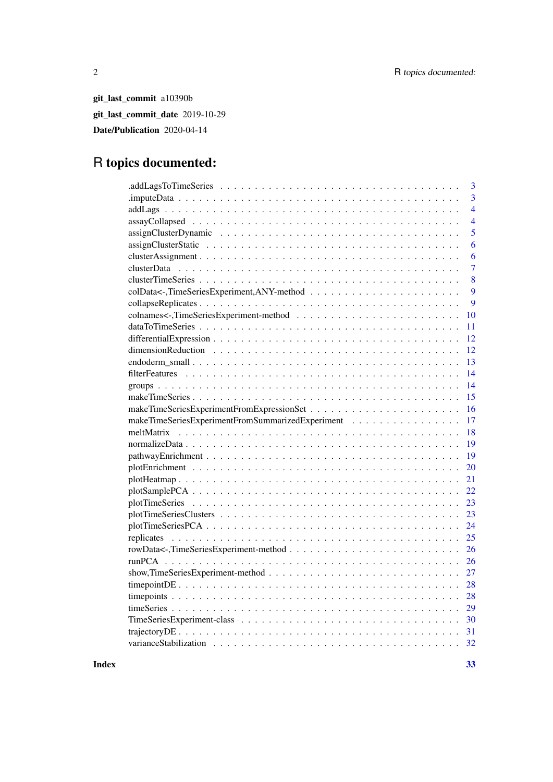git\_last\_commit a10390b git\_last\_commit\_date 2019-10-29 Date/Publication 2020-04-14

# R topics documented:

| 3                                                      |
|--------------------------------------------------------|
| $\overline{3}$                                         |
| $\overline{4}$                                         |
| $\overline{4}$                                         |
| $\overline{5}$                                         |
| 6                                                      |
| 6                                                      |
| $\overline{7}$                                         |
| 8                                                      |
| $\overline{9}$                                         |
| 9                                                      |
| 10                                                     |
| 11                                                     |
| 12                                                     |
| 12                                                     |
| 13                                                     |
| 14                                                     |
| 14                                                     |
| 15                                                     |
| 16                                                     |
| makeTimeSeriesExperimentFromSummarizedExperiment<br>17 |
| 18                                                     |
| 19                                                     |
| 19                                                     |
| 20                                                     |
| 21                                                     |
| 22                                                     |
| 23                                                     |
| 23                                                     |
| 24                                                     |
| 25                                                     |
| 26                                                     |
| 26                                                     |
|                                                        |
| 27                                                     |
| 28                                                     |
| 28                                                     |
| 29                                                     |
| 30                                                     |
|                                                        |
|                                                        |

**Index** [33](#page-32-0)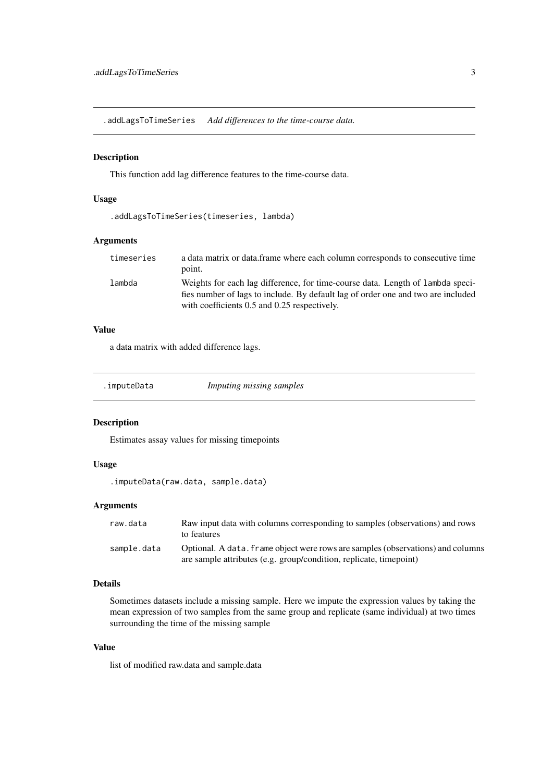<span id="page-2-0"></span>.addLagsToTimeSeries *Add differences to the time-course data.*

# Description

This function add lag difference features to the time-course data.

# Usage

```
.addLagsToTimeSeries(timeseries, lambda)
```
#### Arguments

| timeseries | a data matrix or data.frame where each column corresponds to consecutive time<br>point.                                                                            |
|------------|--------------------------------------------------------------------------------------------------------------------------------------------------------------------|
| lambda     | Weights for each lag difference, for time-course data. Length of lambda speci-<br>fies number of lags to include. By default lag of order one and two are included |
|            | with coefficients 0.5 and 0.25 respectively.                                                                                                                       |

# Value

a data matrix with added difference lags.

.imputeData *Imputing missing samples*

#### Description

Estimates assay values for missing timepoints

# Usage

.imputeData(raw.data, sample.data)

# Arguments

| raw.data    | Raw input data with columns corresponding to samples (observations) and rows<br>to features                                                           |
|-------------|-------------------------------------------------------------------------------------------------------------------------------------------------------|
| sample.data | Optional. A data, frame object were rows are samples (observations) and columns<br>are sample attributes (e.g. group/condition, replicate, timepoint) |

#### Details

Sometimes datasets include a missing sample. Here we impute the expression values by taking the mean expression of two samples from the same group and replicate (same individual) at two times surrounding the time of the missing sample

# Value

list of modified raw.data and sample.data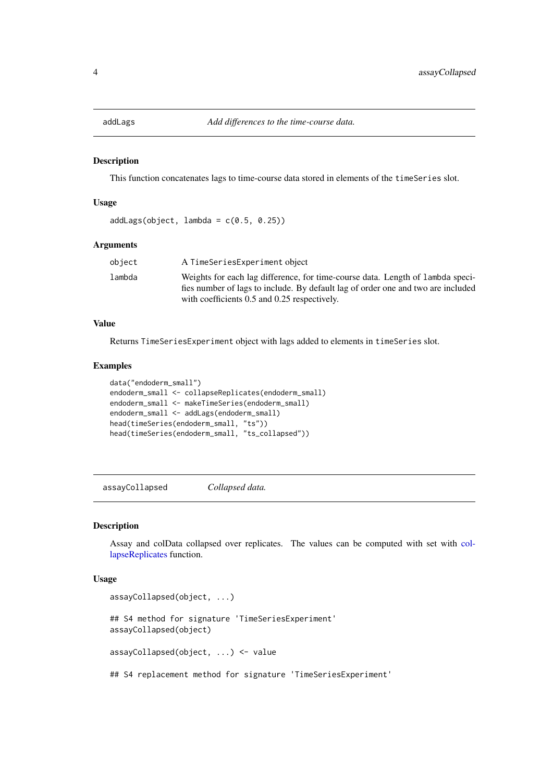<span id="page-3-0"></span>

#### Description

This function concatenates lags to time-course data stored in elements of the timeSeries slot.

#### Usage

```
addLags(object, lambda = c(0.5, 0.25))
```
#### Arguments

| object | A TimeSeriesExperiment object                                                                                                                                                                                      |
|--------|--------------------------------------------------------------------------------------------------------------------------------------------------------------------------------------------------------------------|
| lambda | Weights for each lag difference, for time-course data. Length of lambda speci-<br>fies number of lags to include. By default lag of order one and two are included<br>with coefficients 0.5 and 0.25 respectively. |

## Value

Returns TimeSeriesExperiment object with lags added to elements in timeSeries slot.

#### Examples

```
data("endoderm_small")
endoderm_small <- collapseReplicates(endoderm_small)
endoderm_small <- makeTimeSeries(endoderm_small)
endoderm_small <- addLags(endoderm_small)
head(timeSeries(endoderm_small, "ts"))
head(timeSeries(endoderm_small, "ts_collapsed"))
```
assayCollapsed *Collapsed data.*

### Description

Assay and colData collapsed over replicates. The values can be computed with set with [col](#page-8-1)[lapseReplicates](#page-8-1) function.

```
assayCollapsed(object, ...)
## S4 method for signature 'TimeSeriesExperiment'
assayCollapsed(object)
assayCollapsed(object, ...) <- value
## S4 replacement method for signature 'TimeSeriesExperiment'
```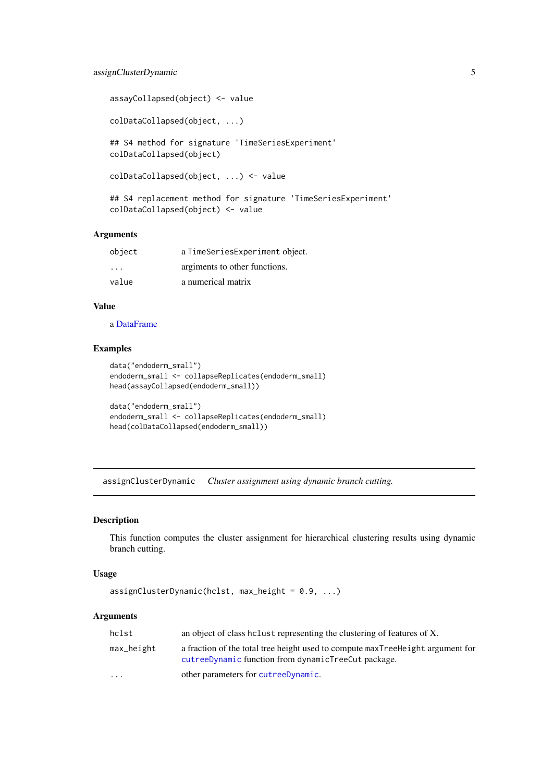```
assayCollapsed(object) <- value
colDataCollapsed(object, ...)
## S4 method for signature 'TimeSeriesExperiment'
colDataCollapsed(object)
colDataCollapsed(object, ...) <- value
## S4 replacement method for signature 'TimeSeriesExperiment'
colDataCollapsed(object) <- value
```

| object  | a TimeSeriesExperiment object. |
|---------|--------------------------------|
| $\cdot$ | argiments to other functions.  |
| value   | a numerical matrix             |

#### Value

a [DataFrame](#page-0-0)

#### Examples

```
data("endoderm_small")
endoderm_small <- collapseReplicates(endoderm_small)
head(assayCollapsed(endoderm_small))
data("endoderm_small")
endoderm_small <- collapseReplicates(endoderm_small)
```
head(colDataCollapsed(endoderm\_small))

<span id="page-4-1"></span>assignClusterDynamic *Cluster assignment using dynamic branch cutting.*

#### Description

This function computes the cluster assignment for hierarchical clustering results using dynamic branch cutting.

# Usage

```
assignClusterDynamic(hclst, max\_height = 0.9, ...)
```
#### Arguments

| hclst      | an object of class holast representing the clustering of features of X.                                                               |
|------------|---------------------------------------------------------------------------------------------------------------------------------------|
| max_height | a fraction of the total tree height used to compute maxTreeHeight argument for<br>cutreeDynamic function from dynamicTreeCut package. |
| $\cdots$   | other parameters for cutreeDynamic.                                                                                                   |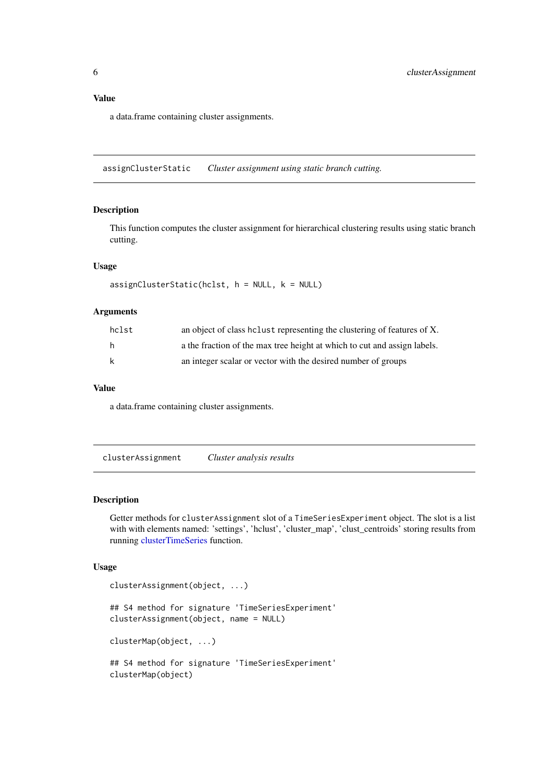<span id="page-5-0"></span>a data.frame containing cluster assignments.

<span id="page-5-1"></span>assignClusterStatic *Cluster assignment using static branch cutting.*

#### Description

This function computes the cluster assignment for hierarchical clustering results using static branch cutting.

#### Usage

```
assignClusterStatic(hclst, h = NULL, k = NULL)
```
#### Arguments

| hclst | an object of class holust representing the clustering of features of X.  |
|-------|--------------------------------------------------------------------------|
| h.    | a the fraction of the max tree height at which to cut and assign labels. |
| k     | an integer scalar or vector with the desired number of groups            |

#### Value

a data.frame containing cluster assignments.

clusterAssignment *Cluster analysis results*

#### Description

Getter methods for clusterAssignment slot of a TimeSeriesExperiment object. The slot is a list with with elements named: 'settings', 'hclust', 'cluster\_map', 'clust\_centroids' storing results from running [clusterTimeSeries](#page-7-1) function.

```
clusterAssignment(object, ...)
## S4 method for signature 'TimeSeriesExperiment'
clusterAssignment(object, name = NULL)
clusterMap(object, ...)
## S4 method for signature 'TimeSeriesExperiment'
clusterMap(object)
```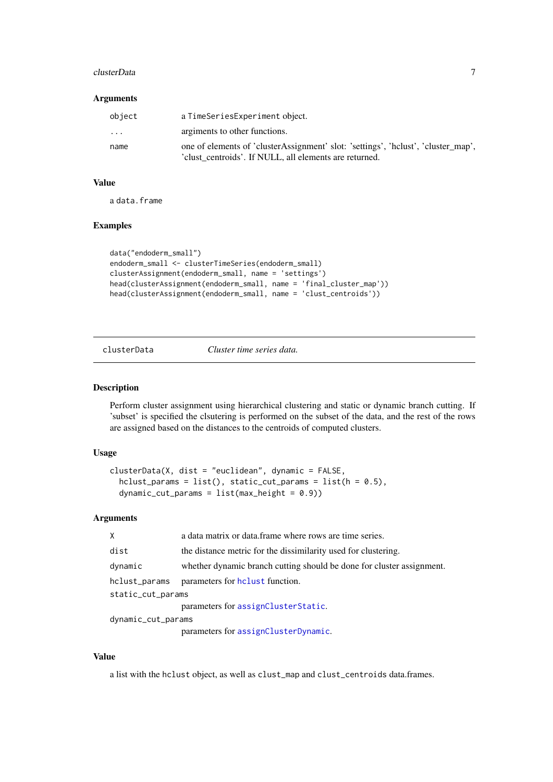#### <span id="page-6-0"></span>clusterData 7 and 2008 and 2008 and 2008 and 2008 and 2008 and 2008 and 2008 and 2008 and 2008 and 2008 and 20

#### Arguments

| object | a TimeSeriesExperiment object.                                                                                                              |
|--------|---------------------------------------------------------------------------------------------------------------------------------------------|
| .      | argiments to other functions.                                                                                                               |
| name   | one of elements of 'clusterAssignment' slot: 'settings', 'hclust', 'cluster_map',<br>'clust centroids'. If NULL, all elements are returned. |

# Value

a data.frame

#### Examples

```
data("endoderm_small")
endoderm_small <- clusterTimeSeries(endoderm_small)
clusterAssignment(endoderm_small, name = 'settings')
head(clusterAssignment(endoderm_small, name = 'final_cluster_map'))
head(clusterAssignment(endoderm_small, name = 'clust_centroids'))
```
<span id="page-6-1"></span>clusterData *Cluster time series data.*

#### Description

Perform cluster assignment using hierarchical clustering and static or dynamic branch cutting. If 'subset' is specified the clsutering is performed on the subset of the data, and the rest of the rows are assigned based on the distances to the centroids of computed clusters.

#### Usage

```
clusterData(X, dist = "euclidean", dynamic = FALSE,
 hclust_params = list(), static_cut_params = list(h = 0.5),
 dynamic-cut_params = list(max_height = 0.9))
```
#### Arguments

| X                  | a data matrix or data frame where rows are time series.               |  |
|--------------------|-----------------------------------------------------------------------|--|
| dist               | the distance metric for the dissimilarity used for clustering.        |  |
| dynamic            | whether dynamic branch cutting should be done for cluster assignment. |  |
| hclust_params      | parameters for holast function.                                       |  |
| static_cut_params  |                                                                       |  |
|                    | parameters for assignClusterStatic.                                   |  |
| dynamic_cut_params |                                                                       |  |
|                    | parameters for assignClusterDynamic.                                  |  |

#### Value

a list with the hclust object, as well as clust\_map and clust\_centroids data.frames.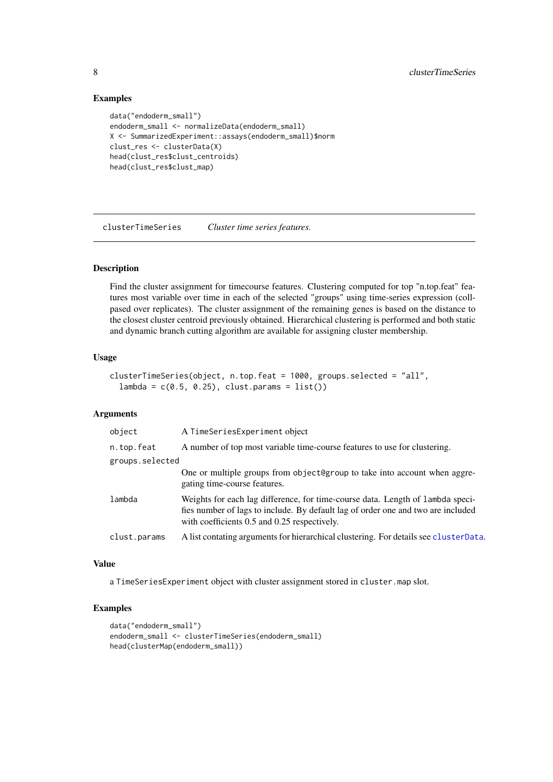# Examples

```
data("endoderm_small")
endoderm_small <- normalizeData(endoderm_small)
X <- SummarizedExperiment::assays(endoderm_small)$norm
clust_res <- clusterData(X)
head(clust_res$clust_centroids)
head(clust_res$clust_map)
```
<span id="page-7-1"></span>clusterTimeSeries *Cluster time series features.*

# Description

Find the cluster assignment for timecourse features. Clustering computed for top "n.top.feat" features most variable over time in each of the selected "groups" using time-series expression (collpased over replicates). The cluster assignment of the remaining genes is based on the distance to the closest cluster centroid previously obtained. Hierarchical clustering is performed and both static and dynamic branch cutting algorithm are available for assigning cluster membership.

#### Usage

```
clusterTimeSeries(object, n.top.feat = 1000, groups.selected = "all",
  lambda = c(0.5, 0.25), clust.params = list()
```
#### Arguments

| object          | A TimeSeriesExperiment object                                                                                                                                                                                      |  |
|-----------------|--------------------------------------------------------------------------------------------------------------------------------------------------------------------------------------------------------------------|--|
| n.top.feat      | A number of top most variable time-course features to use for clustering.                                                                                                                                          |  |
| groups.selected |                                                                                                                                                                                                                    |  |
|                 | One or multiple groups from object@group to take into account when aggre-<br>gating time-course features.                                                                                                          |  |
| lambda          | Weights for each lag difference, for time-course data. Length of lambda speci-<br>fies number of lags to include. By default lag of order one and two are included<br>with coefficients 0.5 and 0.25 respectively. |  |
| clust.params    | A list contating arguments for hierarchical clustering. For details see cluster Data.                                                                                                                              |  |

# Value

a TimeSeriesExperiment object with cluster assignment stored in cluster.map slot.

```
data("endoderm_small")
endoderm_small <- clusterTimeSeries(endoderm_small)
head(clusterMap(endoderm_small))
```
<span id="page-7-0"></span>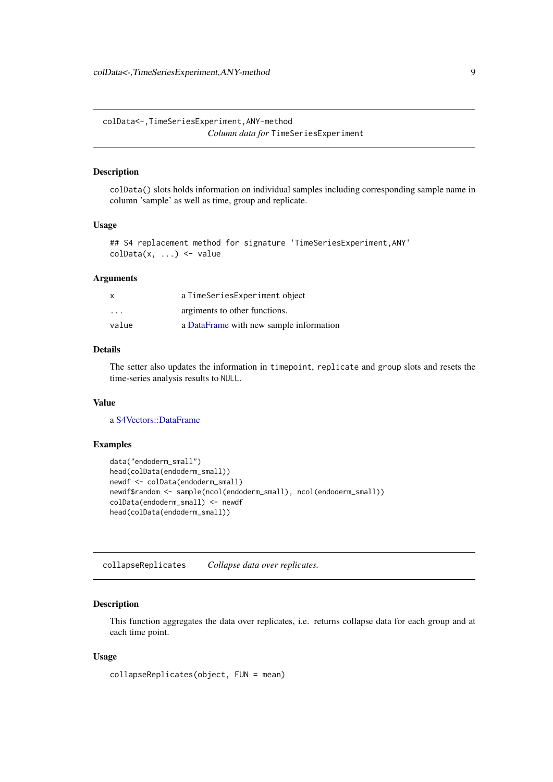<span id="page-8-0"></span>colData<-,TimeSeriesExperiment,ANY-method *Column data for* TimeSeriesExperiment

#### Description

colData() slots holds information on individual samples including corresponding sample name in column 'sample' as well as time, group and replicate.

#### Usage

```
## S4 replacement method for signature 'TimeSeriesExperiment,ANY'
colData(x, ...) <- value
```
#### Arguments

| x       | a TimeSeriesExperiment object           |
|---------|-----------------------------------------|
| $\cdot$ | argiments to other functions.           |
| value   | a DataFrame with new sample information |

## Details

The setter also updates the information in timepoint, replicate and group slots and resets the time-series analysis results to NULL.

# Value

a [S4Vectors::DataFrame](#page-0-0)

# Examples

```
data("endoderm_small")
head(colData(endoderm_small))
newdf <- colData(endoderm_small)
newdf$random <- sample(ncol(endoderm_small), ncol(endoderm_small))
colData(endoderm_small) <- newdf
head(colData(endoderm_small))
```
<span id="page-8-1"></span>collapseReplicates *Collapse data over replicates.*

#### Description

This function aggregates the data over replicates, i.e. returns collapse data for each group and at each time point.

```
collapseReplicates(object, FUN = mean)
```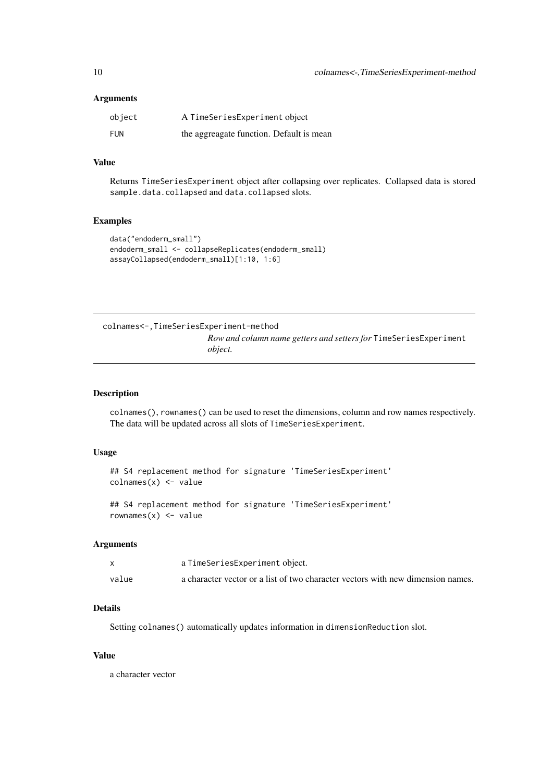<span id="page-9-0"></span>

| object | A TimeSeriesExperiment object            |
|--------|------------------------------------------|
| FUN    | the aggreagate function. Default is mean |

# Value

Returns TimeSeriesExperiment object after collapsing over replicates. Collapsed data is stored sample.data.collapsed and data.collapsed slots.

#### Examples

```
data("endoderm_small")
endoderm_small <- collapseReplicates(endoderm_small)
assayCollapsed(endoderm_small)[1:10, 1:6]
```
colnames<-,TimeSeriesExperiment-method *Row and column name getters and setters for* TimeSeriesExperiment *object.*

#### Description

colnames(), rownames() can be used to reset the dimensions, column and row names respectively. The data will be updated across all slots of TimeSeriesExperiment.

## Usage

```
## S4 replacement method for signature 'TimeSeriesExperiment'
colnames(x) <- value
```
## S4 replacement method for signature 'TimeSeriesExperiment' rownames $(x)$  <- value

#### Arguments

|       | a TimeSeriesExperiment object.                                                  |
|-------|---------------------------------------------------------------------------------|
| value | a character vector or a list of two character vectors with new dimension names. |

# Details

Setting colnames() automatically updates information in dimensionReduction slot.

# Value

a character vector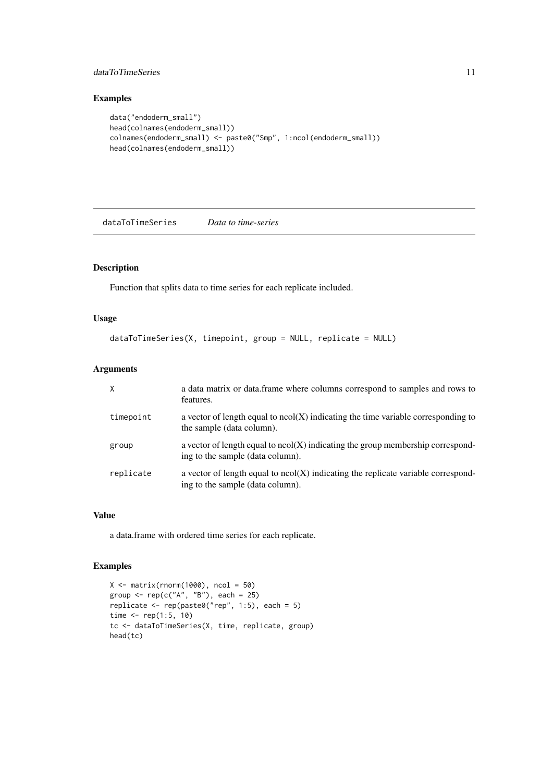#### <span id="page-10-0"></span>dataToTimeSeries 11

# Examples

```
data("endoderm_small")
head(colnames(endoderm_small))
colnames(endoderm_small) <- paste0("Smp", 1:ncol(endoderm_small))
head(colnames(endoderm_small))
```
dataToTimeSeries *Data to time-series*

# Description

Function that splits data to time series for each replicate included.

# Usage

```
dataToTimeSeries(X, timepoint, group = NULL, replicate = NULL)
```
# Arguments

|           | a data matrix or data.frame where columns correspond to samples and rows to<br>features.                                |
|-----------|-------------------------------------------------------------------------------------------------------------------------|
| timepoint | a vector of length equal to $ncol(X)$ indicating the time variable corresponding to<br>the sample (data column).        |
| group     | a vector of length equal to $ncol(X)$ indicating the group membership correspond-<br>ing to the sample (data column).   |
| replicate | a vector of length equal to $ncol(X)$ indicating the replicate variable correspond-<br>ing to the sample (data column). |

#### Value

a data.frame with ordered time series for each replicate.

```
X \leftarrow matrix(rnorm(1000), ncol = 50)group \leq rep(c("A", "B"), each = 25)
replicate \leq rep(paste0("rep", 1:5), each = 5)
time \le- rep(1:5, 10)tc <- dataToTimeSeries(X, time, replicate, group)
head(tc)
```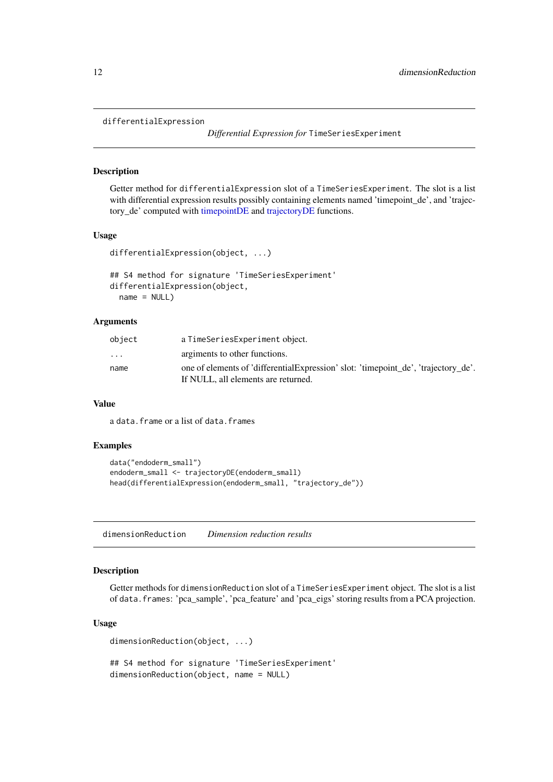#### <span id="page-11-0"></span>differentialExpression

*Differential Expression for* TimeSeriesExperiment

#### Description

Getter method for differentialExpression slot of a TimeSeriesExperiment. The slot is a list with differential expression results possibly containing elements named 'timepoint de', and 'trajectory\_de' computed with [timepointDE](#page-27-1) and [trajectoryDE](#page-30-1) functions.

### Usage

```
differentialExpression(object, ...)
```

```
## S4 method for signature 'TimeSeriesExperiment'
differentialExpression(object,
 name = NULL)
```
## Arguments

| object                  | a TimeSeriesExperiment object.                                                                                            |
|-------------------------|---------------------------------------------------------------------------------------------------------------------------|
| $\cdot$ $\cdot$ $\cdot$ | argiments to other functions.                                                                                             |
| name                    | one of elements of 'differentialExpression' slot: 'timepoint_de', 'trajectory_de'.<br>If NULL, all elements are returned. |

#### Value

a data.frame or a list of data.frames

# Examples

```
data("endoderm_small")
endoderm_small <- trajectoryDE(endoderm_small)
head(differentialExpression(endoderm_small, "trajectory_de"))
```
dimensionReduction *Dimension reduction results*

#### Description

Getter methods for dimensionReduction slot of a TimeSeriesExperiment object. The slot is a list of data.frames: 'pca\_sample', 'pca\_feature' and 'pca\_eigs' storing results from a PCA projection.

```
dimensionReduction(object, ...)
```

```
## S4 method for signature 'TimeSeriesExperiment'
dimensionReduction(object, name = NULL)
```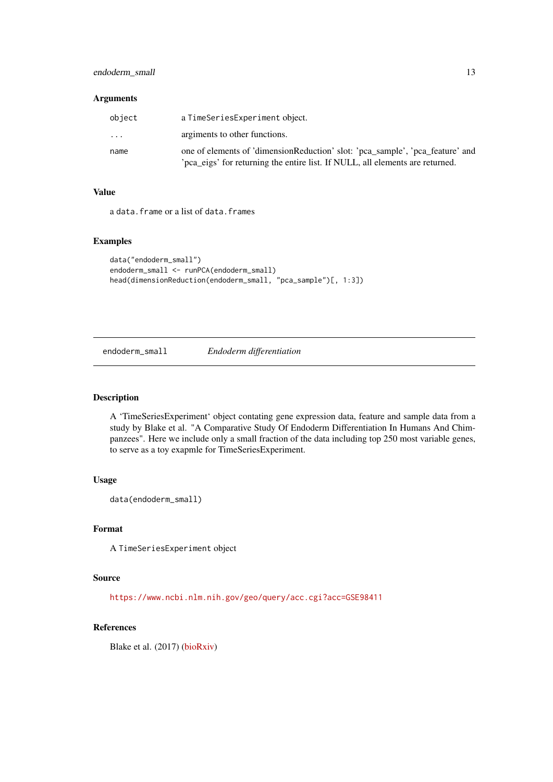<span id="page-12-0"></span>

| object  | a TimeSeriesExperiment object.                                                                                                                                |
|---------|---------------------------------------------------------------------------------------------------------------------------------------------------------------|
| $\cdot$ | argiments to other functions.                                                                                                                                 |
| name    | one of elements of 'dimensionReduction' slot: 'pca_sample', 'pca_feature' and<br>pca_eigs' for returning the entire list. If NULL, all elements are returned. |

# Value

a data.frame or a list of data.frames

#### Examples

```
data("endoderm_small")
endoderm_small <- runPCA(endoderm_small)
head(dimensionReduction(endoderm_small, "pca_sample")[, 1:3])
```
endoderm\_small *Endoderm differentiation*

# Description

A 'TimeSeriesExperiment' object contating gene expression data, feature and sample data from a study by Blake et al. "A Comparative Study Of Endoderm Differentiation In Humans And Chimpanzees". Here we include only a small fraction of the data including top 250 most variable genes, to serve as a toy exapmle for TimeSeriesExperiment.

#### Usage

```
data(endoderm_small)
```
#### Format

A TimeSeriesExperiment object

#### Source

<https://www.ncbi.nlm.nih.gov/geo/query/acc.cgi?acc=GSE98411>

# References

Blake et al. (2017) [\(bioRxiv\)](https://www.biorxiv.org/content/early/2017/05/09/135442)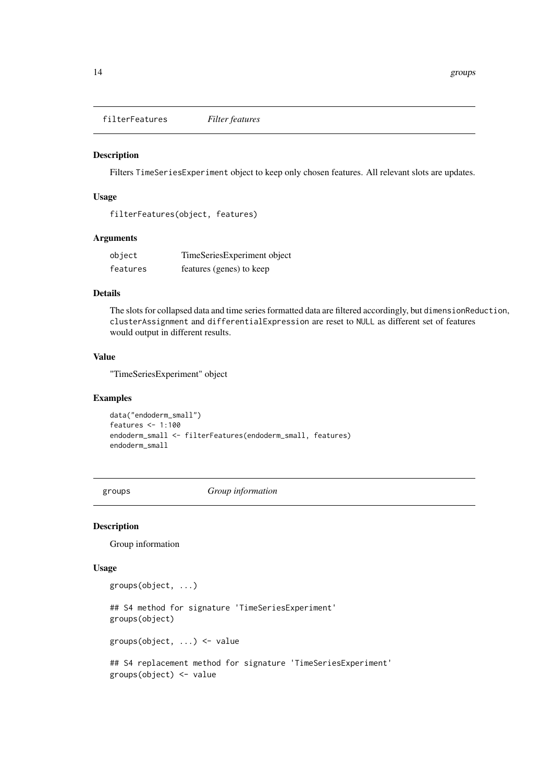<span id="page-13-0"></span>filterFeatures *Filter features*

# Description

Filters TimeSeriesExperiment object to keep only chosen features. All relevant slots are updates.

# Usage

filterFeatures(object, features)

# Arguments

| object   | TimeSeriesExperiment object |
|----------|-----------------------------|
| features | features (genes) to keep    |

# Details

The slots for collapsed data and time series formatted data are filtered accordingly, but dimensionReduction, clusterAssignment and differentialExpression are reset to NULL as different set of features would output in different results.

#### Value

"TimeSeriesExperiment" object

#### Examples

```
data("endoderm_small")
features <- 1:100
endoderm_small <- filterFeatures(endoderm_small, features)
endoderm_small
```
groups *Group information*

#### Description

Group information

```
groups(object, ...)
## S4 method for signature 'TimeSeriesExperiment'
groups(object)
groups(object, ...) <- value
## S4 replacement method for signature 'TimeSeriesExperiment'
groups(object) <- value
```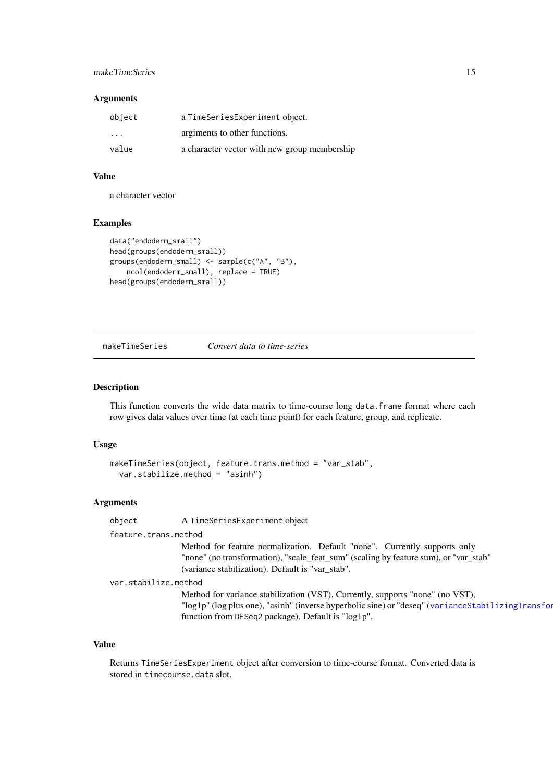#### <span id="page-14-0"></span>makeTimeSeries 15

#### Arguments

| object  | a TimeSeriesExperiment object.               |
|---------|----------------------------------------------|
| $\cdot$ | argiments to other functions.                |
| value   | a character vector with new group membership |

### Value

a character vector

#### Examples

```
data("endoderm_small")
head(groups(endoderm_small))
groups(endoderm_small) <- sample(c("A", "B"),
    ncol(endoderm_small), replace = TRUE)
head(groups(endoderm_small))
```
makeTimeSeries *Convert data to time-series*

#### Description

This function converts the wide data matrix to time-course long data.frame format where each row gives data values over time (at each time point) for each feature, group, and replicate.

# Usage

```
makeTimeSeries(object, feature.trans.method = "var_stab",
 var.stabilize.method = "asinh")
```
# Arguments

object A TimeSeriesExperiment object

feature.trans.method

Method for feature normalization. Default "none". Currently supports only "none" (no transformation), "scale\_feat\_sum" (scaling by feature sum), or "var\_stab" (variance stabilization). Default is "var\_stab".

var.stabilize.method

Method for variance stabilization (VST). Currently, supports "none" (no VST), "log1p" (log plus one), "asinh" (inverse hyperbolic sine) or "deseq" ([varianceStabilizingTransformation](#page-0-0) function from DESeq2 package). Default is "log1p".

# Value

Returns TimeSeriesExperiment object after conversion to time-course format. Converted data is stored in timecourse.data slot.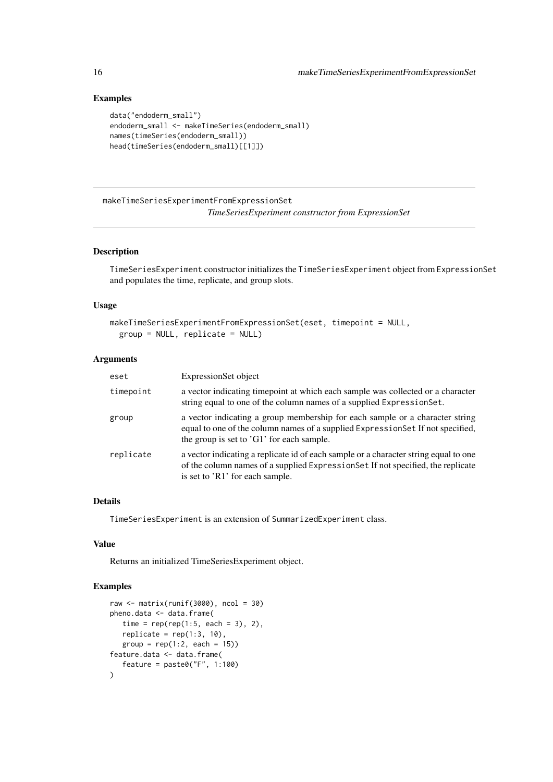# Examples

```
data("endoderm_small")
endoderm_small <- makeTimeSeries(endoderm_small)
names(timeSeries(endoderm_small))
head(timeSeries(endoderm_small)[[1]])
```
makeTimeSeriesExperimentFromExpressionSet *TimeSeriesExperiment constructor from ExpressionSet*

#### Description

TimeSeriesExperiment constructor initializes the TimeSeriesExperiment object from ExpressionSet and populates the time, replicate, and group slots.

# Usage

```
makeTimeSeriesExperimentFromExpressionSet(eset, timepoint = NULL,
 group = NULL, replicate = NULL)
```
#### Arguments

| eset      | ExpressionSet object                                                                                                                                                                                           |
|-----------|----------------------------------------------------------------------------------------------------------------------------------------------------------------------------------------------------------------|
| timepoint | a vector indicating time point at which each sample was collected or a character<br>string equal to one of the column names of a supplied ExpressionSet.                                                       |
| group     | a vector indicating a group membership for each sample or a character string<br>equal to one of the column names of a supplied Expression Set If not specified,<br>the group is set to $'G1'$ for each sample. |
| replicate | a vector indicating a replicate id of each sample or a character string equal to one<br>of the column names of a supplied Expression Set If not specified, the replicate<br>is set to 'R1' for each sample.    |

#### Details

TimeSeriesExperiment is an extension of SummarizedExperiment class.

# Value

Returns an initialized TimeSeriesExperiment object.

```
raw <- matrix(runif(3000), ncol = 30)
pheno.data <- data.frame(
  time = rep(rep(1:5, each = 3), 2),replicate = rep(1:3, 10),group = rep(1:2, each = 15))feature.data <- data.frame(
   feature = paste0("F", 1:100)
)
```
<span id="page-15-0"></span>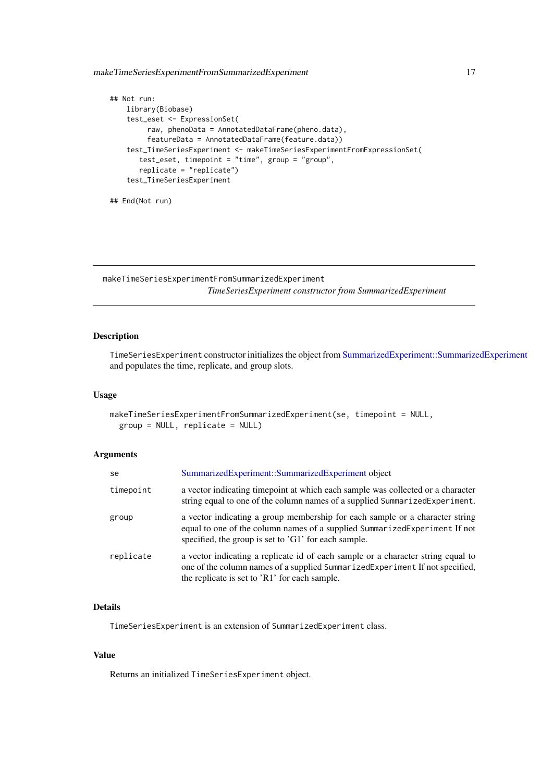<span id="page-16-0"></span>makeTimeSeriesExperimentFromSummarizedExperiment 17

```
## Not run:
   library(Biobase)
    test_eset <- ExpressionSet(
         raw, phenoData = AnnotatedDataFrame(pheno.data),
         featureData = AnnotatedDataFrame(feature.data))
    test_TimeSeriesExperiment <- makeTimeSeriesExperimentFromExpressionSet(
       test_eset, timepoint = "time", group = "group",
       replicate = "replicate")
    test_TimeSeriesExperiment
## End(Not run)
```
makeTimeSeriesExperimentFromSummarizedExperiment *TimeSeriesExperiment constructor from SummarizedExperiment*

#### Description

TimeSeriesExperiment constructor initializes the object from [SummarizedExperiment::SummarizedExperiment](#page-0-0) and populates the time, replicate, and group slots.

#### Usage

```
makeTimeSeriesExperimentFromSummarizedExperiment(se, timepoint = NULL,
 group = NULL, replicate = NULL)
```
#### Arguments

| se        | SummarizedExperiment::SummarizedExperiment object                                                                                                                                                                  |
|-----------|--------------------------------------------------------------------------------------------------------------------------------------------------------------------------------------------------------------------|
| timepoint | a vector indicating time point at which each sample was collected or a character<br>string equal to one of the column names of a supplied SummarizedExperiment.                                                    |
| group     | a vector indicating a group membership for each sample or a character string<br>equal to one of the column names of a supplied SummarizedExperiment If not<br>specified, the group is set to 'G1' for each sample. |
| replicate | a vector indicating a replicate id of each sample or a character string equal to<br>one of the column names of a supplied SummarizedExperiment If not specified,<br>the replicate is set to 'R1' for each sample.  |

#### Details

TimeSeriesExperiment is an extension of SummarizedExperiment class.

# Value

Returns an initialized TimeSeriesExperiment object.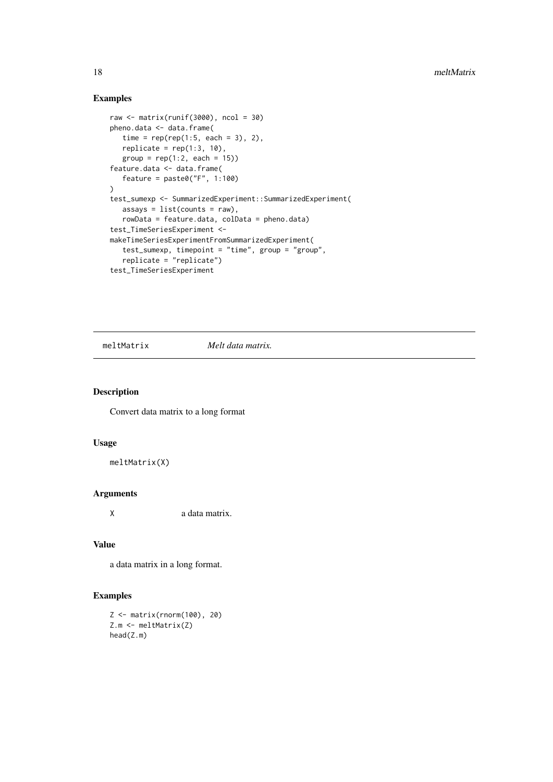## Examples

```
raw <- matrix(runif(3000), ncol = 30)
pheno.data <- data.frame(
  time = rep(rep(1:5, each = 3), 2),
  replicate = rep(1:3, 10),group = rep(1:2, each = 15))feature.data <- data.frame(
  feature = paste@("F", 1:100))
test_sumexp <- SummarizedExperiment::SummarizedExperiment(
  assays = list(counts = raw),
  rowData = feature.data, colData = pheno.data)
test_TimeSeriesExperiment <-
makeTimeSeriesExperimentFromSummarizedExperiment(
   test_sumexp, timepoint = "time", group = "group",
   replicate = "replicate")test_TimeSeriesExperiment
```
meltMatrix *Melt data matrix.*

# Description

Convert data matrix to a long format

#### Usage

meltMatrix(X)

# Arguments

X a data matrix.

#### Value

a data matrix in a long format.

```
Z <- matrix(rnorm(100), 20)
Z.m <- meltMatrix(Z)
head(Z.m)
```
<span id="page-17-0"></span>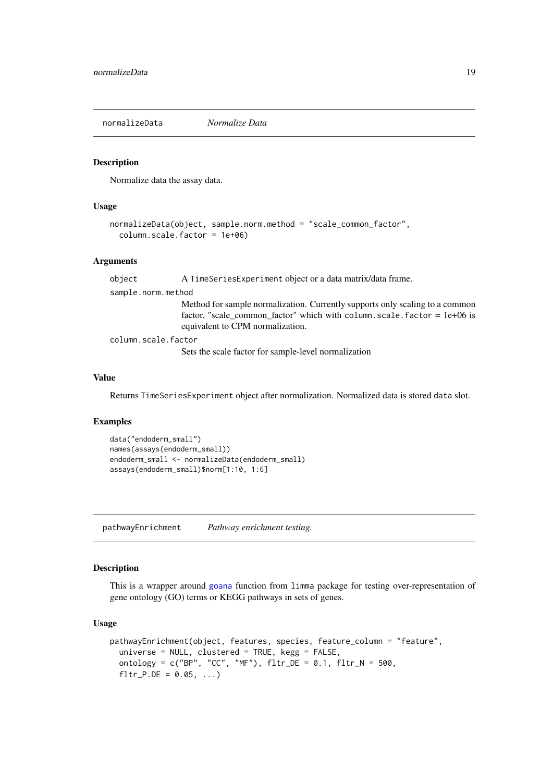<span id="page-18-0"></span>normalizeData *Normalize Data*

#### Description

Normalize data the assay data.

#### Usage

```
normalizeData(object, sample.norm.method = "scale_common_factor",
  column.scale.factor = 1e+06)
```
## Arguments

object A TimeSeriesExperiment object or a data matrix/data frame. sample.norm.method Method for sample normalization. Currently supports only scaling to a common factor, "scale\_common\_factor" which with column.scale.factor =  $1e+06$  is equivalent to CPM normalization.

column.scale.factor

Sets the scale factor for sample-level normalization

#### Value

Returns TimeSeriesExperiment object after normalization. Normalized data is stored data slot.

#### Examples

```
data("endoderm_small")
names(assays(endoderm_small))
endoderm_small <- normalizeData(endoderm_small)
assays(endoderm_small)$norm[1:10, 1:6]
```
<span id="page-18-1"></span>pathwayEnrichment *Pathway enrichment testing.*

#### Description

This is a wrapper around [goana](#page-0-0) function from limma package for testing over-representation of gene ontology (GO) terms or KEGG pathways in sets of genes.

```
pathwayEnrichment(object, features, species, feature_column = "feature",
 universe = NULL, clustered = TRUE, kegg = FALSE,
 ontology = c("BP", "CC", "MF"), fltr_DE = 0.1, fltr_N = 500,
  fltr_P.DE = 0.05, ...
```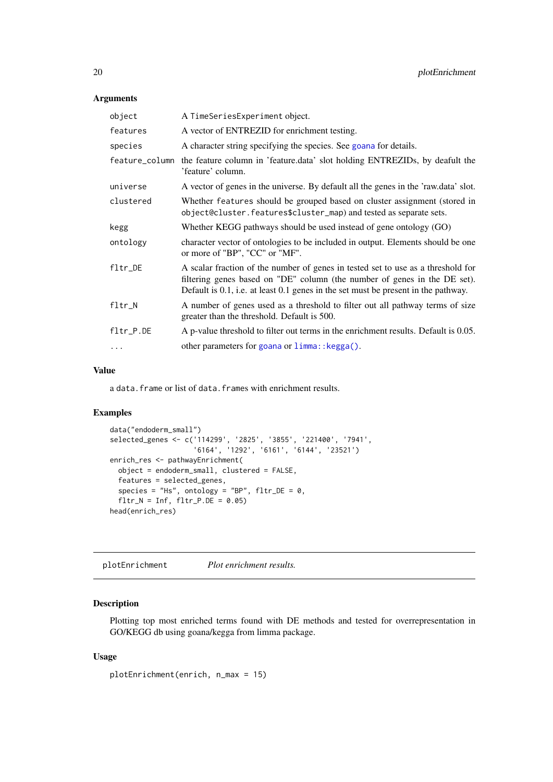| object         | A TimeSeriesExperiment object.                                                                                                                                                                                                                      |
|----------------|-----------------------------------------------------------------------------------------------------------------------------------------------------------------------------------------------------------------------------------------------------|
| features       | A vector of ENTREZID for enrichment testing.                                                                                                                                                                                                        |
| species        | A character string specifying the species. See goana for details.                                                                                                                                                                                   |
| feature_column | the feature column in 'feature.data' slot holding ENTREZIDs, by deafult the<br>'feature' column.                                                                                                                                                    |
| universe       | A vector of genes in the universe. By default all the genes in the 'raw.data' slot.                                                                                                                                                                 |
| clustered      | Whether features should be grouped based on cluster assignment (stored in<br>object@cluster.features\$cluster_map) and tested as separate sets.                                                                                                     |
| kegg           | Whether KEGG pathways should be used instead of gene ontology (GO)                                                                                                                                                                                  |
| ontology       | character vector of ontologies to be included in output. Elements should be one<br>or more of "BP", "CC" or "MF".                                                                                                                                   |
| $fltr$ DE      | A scalar fraction of the number of genes in tested set to use as a threshold for<br>filtering genes based on "DE" column (the number of genes in the DE set).<br>Default is 0.1, i.e. at least 0.1 genes in the set must be present in the pathway. |
| fltr_N         | A number of genes used as a threshold to filter out all pathway terms of size<br>greater than the threshold. Default is 500.                                                                                                                        |
| fltr_P.DE      | A p-value threshold to filter out terms in the enrichment results. Default is 0.05.                                                                                                                                                                 |
| $\ddots$       | other parameters for goana or limma:: kegga().                                                                                                                                                                                                      |
|                |                                                                                                                                                                                                                                                     |

### Value

a data. frame or list of data. frames with enrichment results.

## Examples

```
data("endoderm_small")
selected_genes <- c('114299', '2825', '3855', '221400', '7941',
                    '6164', '1292', '6161', '6144', '23521')
enrich_res <- pathwayEnrichment(
  object = endoderm_small, clustered = FALSE,
  features = selected_genes,
  species = "Hs", ontology = "BP", fltr_DE = 0,fltr_N = Inf, fltr_P.DE = 0.05)head(enrich_res)
```
plotEnrichment *Plot enrichment results.*

# Description

Plotting top most enriched terms found with DE methods and tested for overrepresentation in GO/KEGG db using goana/kegga from limma package.

```
plotEnrichment(enrich, n_max = 15)
```
<span id="page-19-0"></span>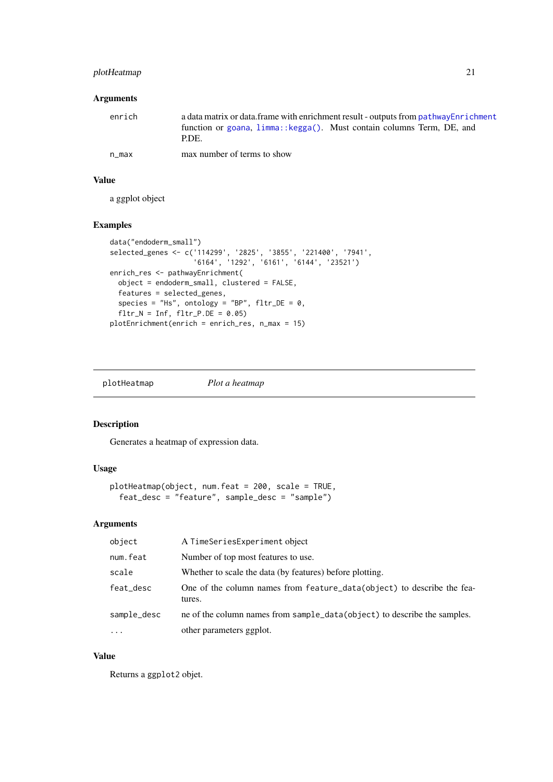#### <span id="page-20-0"></span>plotHeatmap 21

# Arguments

| enrich | a data matrix or data frame with enrichment result - outputs from pathway Enrichment |
|--------|--------------------------------------------------------------------------------------|
|        | function or goana, limma:: kegga(). Must contain columns Term, DE, and<br>P.DE.      |
| n max  | max number of terms to show                                                          |

# Value

a ggplot object

# Examples

```
data("endoderm_small")
selected_genes <- c('114299', '2825', '3855', '221400', '7941',
                   '6164', '1292', '6161', '6144', '23521')
enrich_res <- pathwayEnrichment(
 object = endoderm_small, clustered = FALSE,
  features = selected_genes,
 species = "Hs", ontology = "BP", fltr\_DE = 0,
 fltr_N = Inf, fltr_P.DE = 0.05plotEnrichment(enrich = enrich_res, n_max = 15)
```
plotHeatmap *Plot a heatmap*

# Description

Generates a heatmap of expression data.

# Usage

```
plotHeatmap(object, num.feat = 200, scale = TRUE,
  feat_desc = "feature", sample_desc = "sample")
```
#### Arguments

| object      | A TimeSeriesExperiment object                                                    |
|-------------|----------------------------------------------------------------------------------|
| num.feat    | Number of top most features to use.                                              |
| scale       | Whether to scale the data (by features) before plotting.                         |
| feat_desc   | One of the column names from feature_data(object) to describe the fea-<br>tures. |
| sample_desc | ne of the column names from sample_data(object) to describe the samples.         |
| $\ddots$ .  | other parameters ggplot.                                                         |

# Value

Returns a ggplot2 objet.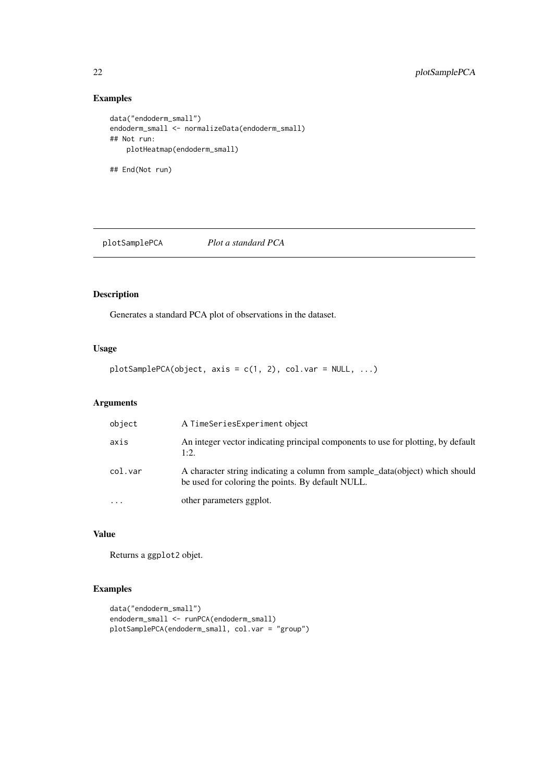## Examples

```
data("endoderm_small")
endoderm_small <- normalizeData(endoderm_small)
## Not run:
    plotHeatmap(endoderm_small)
## End(Not run)
```
plotSamplePCA *Plot a standard PCA*

# Description

Generates a standard PCA plot of observations in the dataset.

#### Usage

plotSamplePCA(object, axis = c(1, 2), col.var = NULL, ...)

# Arguments

| object                  | A TimeSeriesExperiment object                                                                                                     |
|-------------------------|-----------------------------------------------------------------------------------------------------------------------------------|
| axis                    | An integer vector indicating principal components to use for plotting, by default<br>1:2.                                         |
| col.var                 | A character string indicating a column from sample_data(object) which should<br>be used for coloring the points. By default NULL. |
| $\cdot$ $\cdot$ $\cdot$ | other parameters ggplot.                                                                                                          |

## Value

Returns a ggplot2 objet.

```
data("endoderm_small")
endoderm_small <- runPCA(endoderm_small)
plotSamplePCA(endoderm_small, col.var = "group")
```
<span id="page-21-0"></span>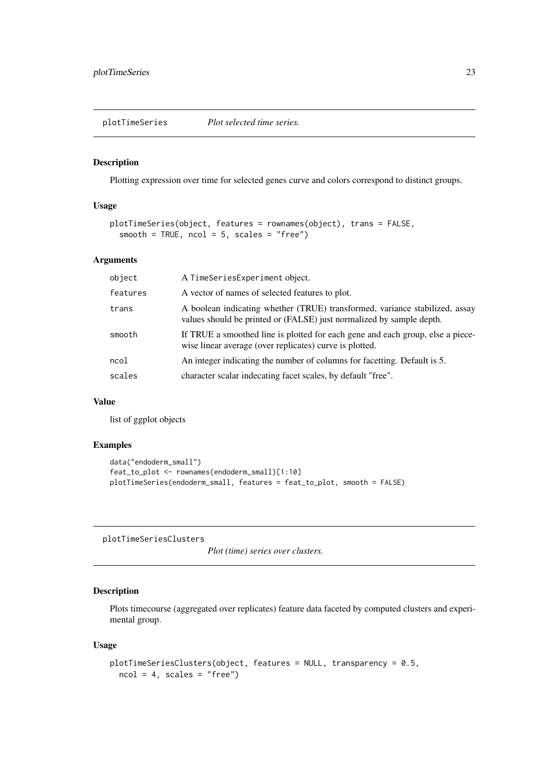<span id="page-22-0"></span>plotTimeSeries *Plot selected time series.*

#### Description

Plotting expression over time for selected genes curve and colors correspond to distinct groups.

#### Usage

```
plotTimeSeries(object, features = rownames(object), trans = FALSE,
  smooth = TRUE, ncol = 5, scales = "free")
```
## Arguments

| object   | A TimeSeriesExperiment object.                                                                                                                      |
|----------|-----------------------------------------------------------------------------------------------------------------------------------------------------|
| features | A vector of names of selected features to plot.                                                                                                     |
| trans    | A boolean indicating whether (TRUE) transformed, variance stabilized, assay<br>values should be printed or (FALSE) just normalized by sample depth. |
| smooth   | If TRUE a smoothed line is plotted for each gene and each group, else a piece-<br>wise linear average (over replicates) curve is plotted.           |
| ncol     | An integer indicating the number of columns for facetting. Default is 5.                                                                            |
| scales   | character scalar indecating facet scales, by default "free".                                                                                        |
|          |                                                                                                                                                     |

#### Value

list of ggplot objects

# Examples

```
data("endoderm_small")
feat_to_plot <- rownames(endoderm_small)[1:10]
plotTimeSeries(endoderm_small, features = feat_to_plot, smooth = FALSE)
```
plotTimeSeriesClusters

*Plot (time) series over clusters.*

# Description

Plots timecourse (aggregated over replicates) feature data faceted by computed clusters and experimental group.

```
plotTimeSeriesClusters(object, features = NULL, transparency = 0.5,
 ncol = 4, scales = "free")
```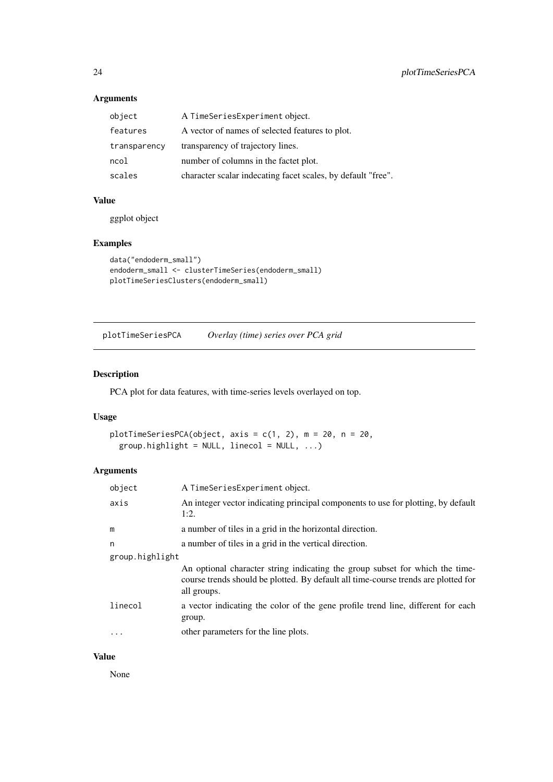| object       | A TimeSeriesExperiment object.                               |
|--------------|--------------------------------------------------------------|
| features     | A vector of names of selected features to plot.              |
| transparency | transparency of trajectory lines.                            |
| ncol         | number of columns in the factet plot.                        |
| scales       | character scalar indecating facet scales, by default "free". |

#### Value

ggplot object

# Examples

```
data("endoderm_small")
endoderm_small <- clusterTimeSeries(endoderm_small)
plotTimeSeriesClusters(endoderm_small)
```
plotTimeSeriesPCA *Overlay (time) series over PCA grid*

# Description

PCA plot for data features, with time-series levels overlayed on top.

#### Usage

```
plotTimeSeriesPCA(object, axis = c(1, 2), m = 20, n = 20,
 group.highlight = NULL, linecol = NULL, ...)
```
# Arguments

| object          | A TimeSeriesExperiment object.                                                                                                                                                    |
|-----------------|-----------------------------------------------------------------------------------------------------------------------------------------------------------------------------------|
| axis            | An integer vector indicating principal components to use for plotting, by default<br>1:2.                                                                                         |
| m               | a number of tiles in a grid in the horizontal direction.                                                                                                                          |
| n               | a number of tiles in a grid in the vertical direction.                                                                                                                            |
| group.highlight |                                                                                                                                                                                   |
|                 | An optional character string indicating the group subset for which the time-<br>course trends should be plotted. By default all time-course trends are plotted for<br>all groups. |
| linecol         | a vector indicating the color of the gene profile trend line, different for each<br>group.                                                                                        |
| $\cdots$        | other parameters for the line plots.                                                                                                                                              |

# Value

None

<span id="page-23-0"></span>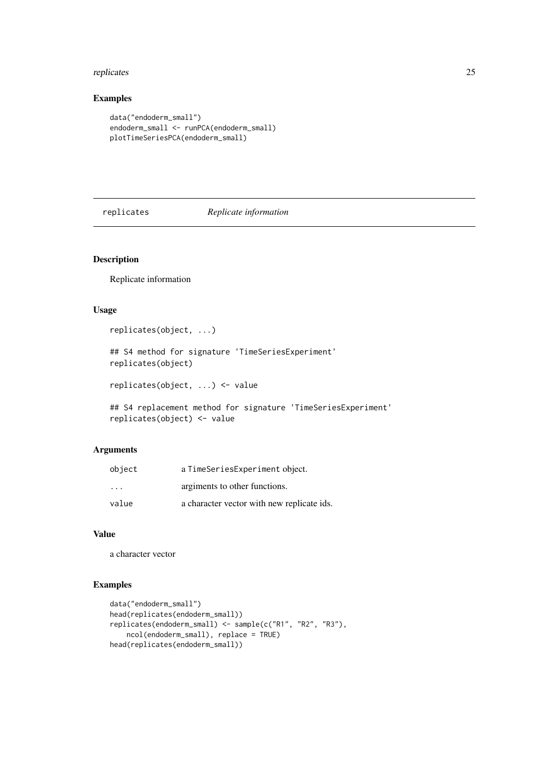#### <span id="page-24-0"></span>replicates 25

## Examples

```
data("endoderm_small")
endoderm_small <- runPCA(endoderm_small)
plotTimeSeriesPCA(endoderm_small)
```
replicates *Replicate information*

# Description

Replicate information

# Usage

```
replicates(object, ...)
```
## S4 method for signature 'TimeSeriesExperiment' replicates(object)

replicates(object, ...) <- value

## S4 replacement method for signature 'TimeSeriesExperiment' replicates(object) <- value

# Arguments

| object                  | a TimeSeriesExperiment object.             |
|-------------------------|--------------------------------------------|
| $\cdot$ $\cdot$ $\cdot$ | argiments to other functions.              |
| value                   | a character vector with new replicate ids. |

#### Value

a character vector

```
data("endoderm_small")
head(replicates(endoderm_small))
replicates(endoderm_small) <- sample(c("R1", "R2", "R3"),
    ncol(endoderm_small), replace = TRUE)
head(replicates(endoderm_small))
```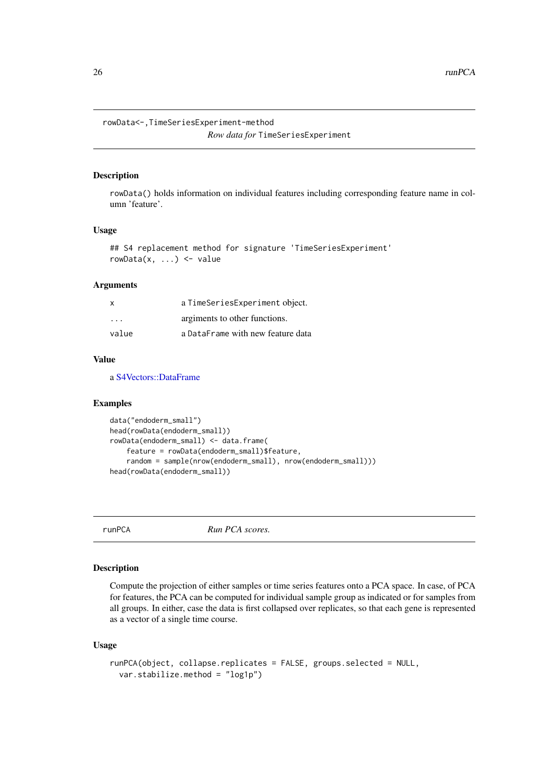<span id="page-25-0"></span>rowData<-,TimeSeriesExperiment-method

```
Row data for TimeSeriesExperiment
```
#### Description

rowData() holds information on individual features including corresponding feature name in column 'feature'.

# Usage

```
## S4 replacement method for signature 'TimeSeriesExperiment'
rowData(x, ...) \leftarrow value
```
#### Arguments

| X        | a TimeSeriesExperiment object.    |
|----------|-----------------------------------|
| $\cdots$ | argiments to other functions.     |
| value    | a DataFrame with new feature data |

#### Value

a [S4Vectors::DataFrame](#page-0-0)

#### Examples

```
data("endoderm_small")
head(rowData(endoderm_small))
rowData(endoderm_small) <- data.frame(
    feature = rowData(endoderm_small)$feature,
    random = sample(nrow(endoderm_small), nrow(endoderm_small)))
head(rowData(endoderm_small))
```
runPCA *Run PCA scores.*

# Description

Compute the projection of either samples or time series features onto a PCA space. In case, of PCA for features, the PCA can be computed for individual sample group as indicated or for samples from all groups. In either, case the data is first collapsed over replicates, so that each gene is represented as a vector of a single time course.

```
runPCA(object, collapse.replicates = FALSE, groups.selected = NULL,
 var.stabilize.method = "log1p")
```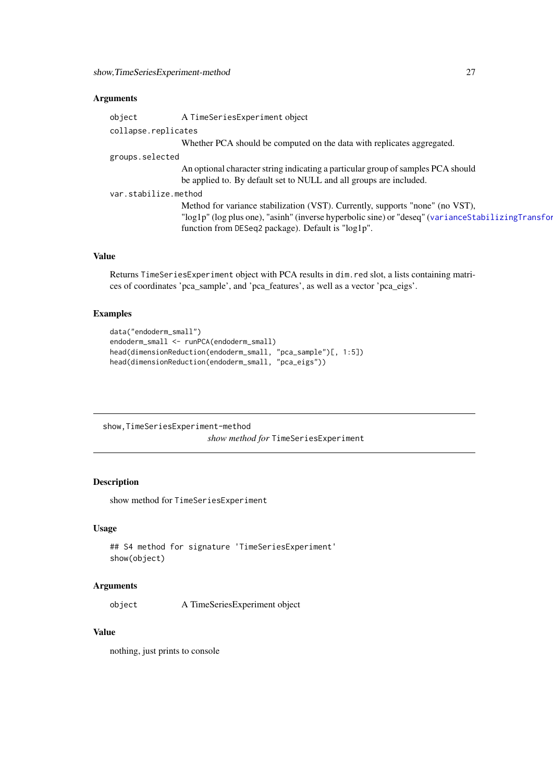<span id="page-26-0"></span>

| object               | A TimeSeriesExperiment object                                                                     |
|----------------------|---------------------------------------------------------------------------------------------------|
| collapse.replicates  |                                                                                                   |
|                      | Whether PCA should be computed on the data with replicates aggregated.                            |
| groups.selected      |                                                                                                   |
|                      | An optional character string indicating a particular group of samples PCA should                  |
|                      | be applied to. By default set to NULL and all groups are included.                                |
| var.stabilize.method |                                                                                                   |
|                      | Method for variance stabilization (VST). Currently, supports "none" (no VST),                     |
|                      | "log1p" (log plus one), "asinh" (inverse hyperbolic sine) or "deseq" (varianceStabilizingTransfor |
|                      | function from DESeq2 package). Default is "log1p".                                                |
|                      |                                                                                                   |
|                      |                                                                                                   |

# Value

Returns TimeSeriesExperiment object with PCA results in dim.red slot, a lists containing matrices of coordinates 'pca\_sample', and 'pca\_features', as well as a vector 'pca\_eigs'.

# Examples

```
data("endoderm_small")
endoderm_small <- runPCA(endoderm_small)
head(dimensionReduction(endoderm_small, "pca_sample")[, 1:5])
head(dimensionReduction(endoderm_small, "pca_eigs"))
```
show,TimeSeriesExperiment-method

*show method for* TimeSeriesExperiment

# Description

show method for TimeSeriesExperiment

# Usage

```
## S4 method for signature 'TimeSeriesExperiment'
show(object)
```
# Arguments

object A TimeSeriesExperiment object

### Value

nothing, just prints to console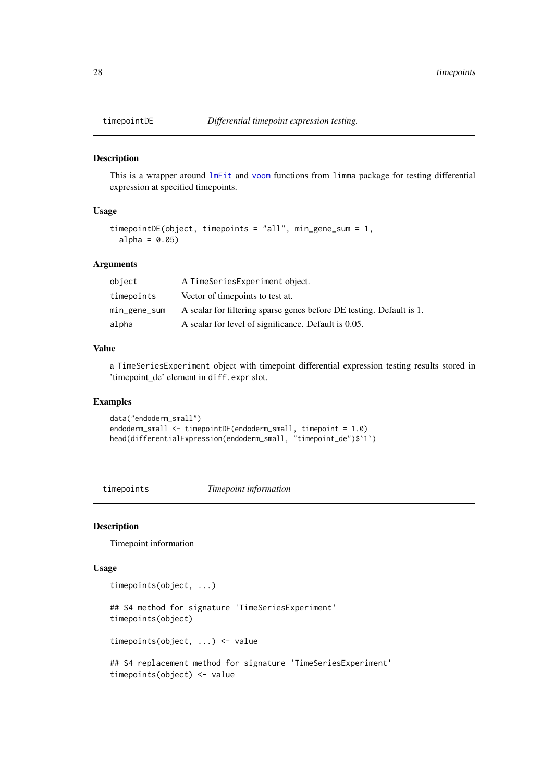<span id="page-27-1"></span><span id="page-27-0"></span>

#### Description

This is a wrapper around [lmFit](#page-0-0) and [voom](#page-0-0) functions from limma package for testing differential expression at specified timepoints.

# Usage

```
timepointDE(object, timepoints = "all", min_gene_sum = 1,
 alpha = 0.05)
```
# Arguments

| object       | A TimeSeriesExperiment object.                                       |
|--------------|----------------------------------------------------------------------|
| timepoints   | Vector of timepoints to test at.                                     |
| min_gene_sum | A scalar for filtering sparse genes before DE testing. Default is 1. |
| alpha        | A scalar for level of significance. Default is 0.05.                 |

#### Value

a TimeSeriesExperiment object with timepoint differential expression testing results stored in 'timepoint\_de' element in diff.expr slot.

#### Examples

```
data("endoderm_small")
endoderm_small <- timepointDE(endoderm_small, timepoint = 1.0)
head(differentialExpression(endoderm_small, "timepoint_de")$`1`)
```
timepoints *Timepoint information*

### Description

Timepoint information

```
timepoints(object, ...)
## S4 method for signature 'TimeSeriesExperiment'
timepoints(object)
timepoints(object, ...) <- value
## S4 replacement method for signature 'TimeSeriesExperiment'
timepoints(object) <- value
```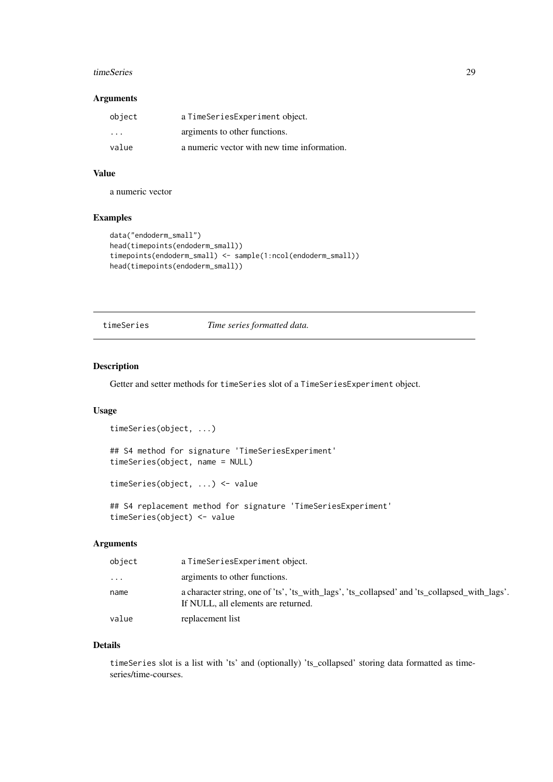#### <span id="page-28-0"></span>timeSeries 29

#### Arguments

| object                  | a TimeSeriesExperiment object.              |
|-------------------------|---------------------------------------------|
| $\cdot$ $\cdot$ $\cdot$ | argiments to other functions.               |
| value                   | a numeric vector with new time information. |

# Value

a numeric vector

# Examples

```
data("endoderm_small")
head(timepoints(endoderm_small))
timepoints(endoderm_small) <- sample(1:ncol(endoderm_small))
head(timepoints(endoderm_small))
```
timeSeries *Time series formatted data.*

#### Description

Getter and setter methods for timeSeries slot of a TimeSeriesExperiment object.

#### Usage

```
timeSeries(object, ...)
## S4 method for signature 'TimeSeriesExperiment'
timeSeries(object, name = NULL)
timeSeries(object, ...) <- value
```
## S4 replacement method for signature 'TimeSeriesExperiment' timeSeries(object) <- value

# Arguments

| object     | a TimeSeriesExperiment object.                                                                                                       |
|------------|--------------------------------------------------------------------------------------------------------------------------------------|
| $\ddots$ . | argiments to other functions.                                                                                                        |
| name       | a character string, one of 'ts', 'ts_with_lags', 'ts_collapsed' and 'ts_collapsed_with_lags'.<br>If NULL, all elements are returned. |
| value      | replacement list                                                                                                                     |

# Details

timeSeries slot is a list with 'ts' and (optionally) 'ts\_collapsed' storing data formatted as timeseries/time-courses.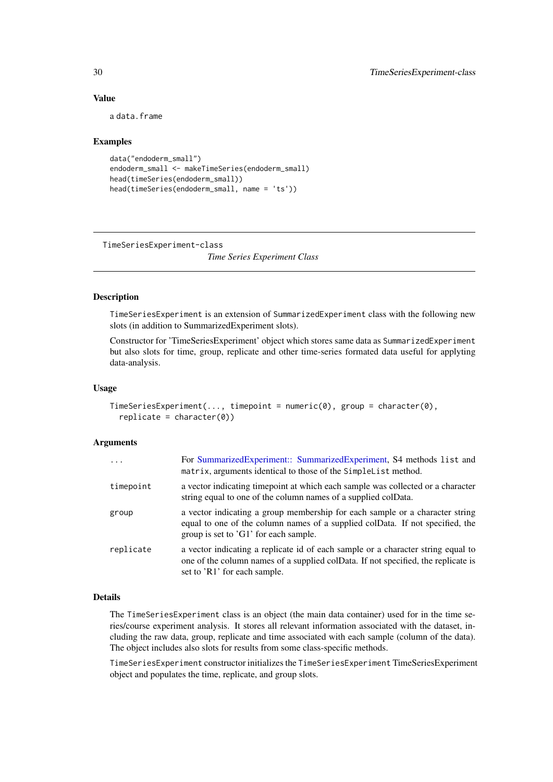# Value

a data.frame

#### Examples

```
data("endoderm_small")
endoderm_small <- makeTimeSeries(endoderm_small)
head(timeSeries(endoderm_small))
head(timeSeries(endoderm_small, name = 'ts'))
```
TimeSeriesExperiment-class

*Time Series Experiment Class*

#### Description

TimeSeriesExperiment is an extension of SummarizedExperiment class with the following new slots (in addition to SummarizedExperiment slots).

Constructor for 'TimeSeriesExperiment' object which stores same data as SummarizedExperiment but also slots for time, group, replicate and other time-series formated data useful for applyting data-analysis.

#### Usage

```
TimeSeriesExperiment(..., timepoint = numeric(0), group = character(0),
  replicate = character(0)
```
#### Arguments

| $\cdot$   | For SummarizedExperiment:: SummarizedExperiment, S4 methods list and<br>matrix, arguments identical to those of the SimpleList method.                                                                 |
|-----------|--------------------------------------------------------------------------------------------------------------------------------------------------------------------------------------------------------|
| timepoint | a vector indicating time point at which each sample was collected or a character<br>string equal to one of the column names of a supplied colData.                                                     |
| group     | a vector indicating a group membership for each sample or a character string<br>equal to one of the column names of a supplied colData. If not specified, the<br>group is set to 'G1' for each sample. |
| replicate | a vector indicating a replicate id of each sample or a character string equal to<br>one of the column names of a supplied colData. If not specified, the replicate is<br>set to 'R1' for each sample.  |

#### Details

The TimeSeriesExperiment class is an object (the main data container) used for in the time series/course experiment analysis. It stores all relevant information associated with the dataset, including the raw data, group, replicate and time associated with each sample (column of the data). The object includes also slots for results from some class-specific methods.

TimeSeriesExperiment constructor initializes the TimeSeriesExperiment TimeSeriesExperiment object and populates the time, replicate, and group slots.

<span id="page-29-0"></span>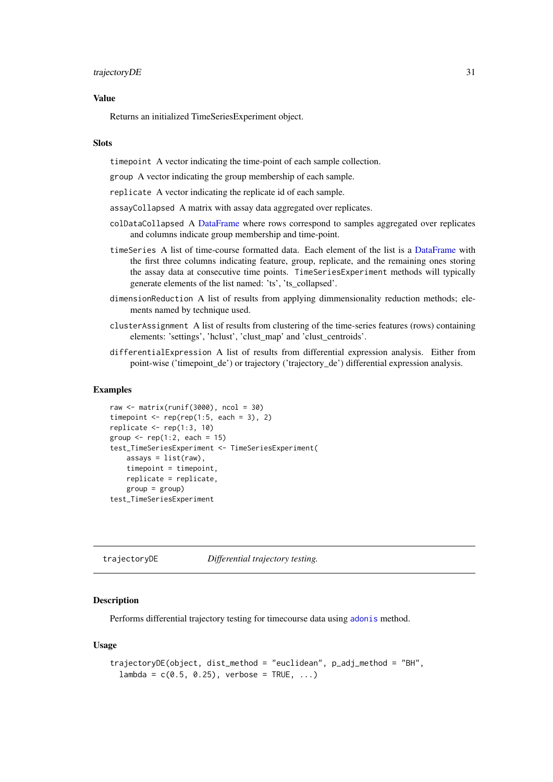#### <span id="page-30-0"></span>Value

Returns an initialized TimeSeriesExperiment object.

#### Slots

timepoint A vector indicating the time-point of each sample collection.

group A vector indicating the group membership of each sample.

replicate A vector indicating the replicate id of each sample.

- assayCollapsed A matrix with assay data aggregated over replicates.
- colDataCollapsed A [DataFrame](#page-0-0) where rows correspond to samples aggregated over replicates and columns indicate group membership and time-point.
- timeSeries A list of time-course formatted data. Each element of the list is a [DataFrame](#page-0-0) with the first three columns indicating feature, group, replicate, and the remaining ones storing the assay data at consecutive time points. TimeSeriesExperiment methods will typically generate elements of the list named: 'ts', 'ts\_collapsed'.
- dimensionReduction A list of results from applying dimmensionality reduction methods; elements named by technique used.
- clusterAssignment A list of results from clustering of the time-series features (rows) containing elements: 'settings', 'hclust', 'clust\_map' and 'clust\_centroids'.
- differentialExpression A list of results from differential expression analysis. Either from point-wise ('timepoint\_de') or trajectory ('trajectory\_de') differential expression analysis.

#### Examples

```
raw \leq matrix(runif(3000), ncol = 30)
timepoint \leq rep(rep(1:5, each = 3), 2)
replicate \leq rep(1:3, 10)
group \leq rep(1:2, each = 15)
test_TimeSeriesExperiment <- TimeSeriesExperiment(
    assays = list(raw),
    timepoint = timepoint,
    replicate = replicate,
    group = group)test_TimeSeriesExperiment
```
<span id="page-30-1"></span>trajectoryDE *Differential trajectory testing.*

#### Description

Performs differential trajectory testing for timecourse data using [adonis](#page-0-0) method.

```
trajectoryDE(object, dist_method = "euclidean", p_adj_method = "BH",
 lambda = c(0.5, 0.25), verbose = TRUE, ...)
```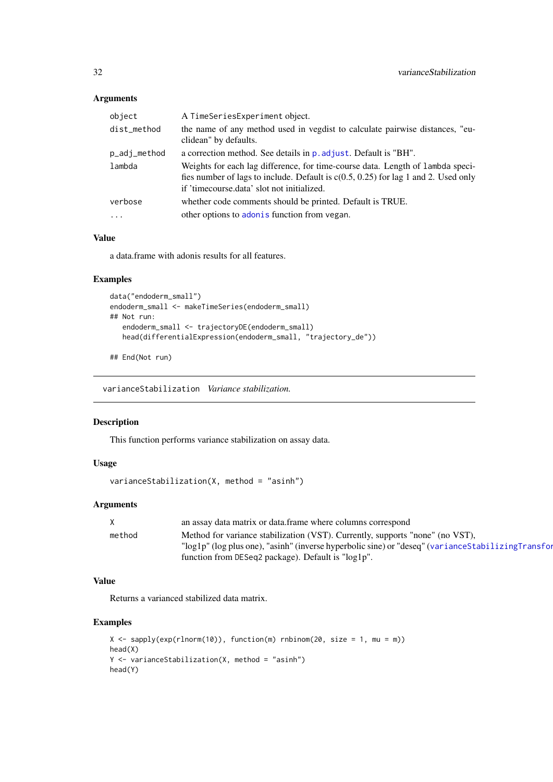| object       | A TimeSeriesExperiment object.                                                                                                                                                                                       |
|--------------|----------------------------------------------------------------------------------------------------------------------------------------------------------------------------------------------------------------------|
| dist_method  | the name of any method used in vegdist to calculate pairwise distances, "eu-<br>clidean" by defaults.                                                                                                                |
| p_adj_method | a correction method. See details in p. adjust. Default is "BH".                                                                                                                                                      |
| lambda       | Weights for each lag difference, for time-course data. Length of lambda speci-<br>fies number of lags to include. Default is $c(0.5, 0.25)$ for lag 1 and 2. Used only<br>if 'timecourse.data' slot not initialized. |
| verbose      | whether code comments should be printed. Default is TRUE.                                                                                                                                                            |
| $\cdot$      | other options to adon is function from vegan.                                                                                                                                                                        |
|              |                                                                                                                                                                                                                      |

# Value

a data.frame with adonis results for all features.

# Examples

```
data("endoderm_small")
endoderm_small <- makeTimeSeries(endoderm_small)
## Not run:
   endoderm_small <- trajectoryDE(endoderm_small)
   head(differentialExpression(endoderm_small, "trajectory_de"))
```

```
## End(Not run)
```
varianceStabilization *Variance stabilization.*

#### Description

This function performs variance stabilization on assay data.

# Usage

```
varianceStabilization(X, method = "asinh")
```
# Arguments

| $\mathsf{X}$ | an assay data matrix or data. frame where columns correspond                                        |
|--------------|-----------------------------------------------------------------------------------------------------|
| method       | Method for variance stabilization (VST). Currently, supports "none" (no VST),                       |
|              | "log1p" (log plus one), "asinh" (inverse hyperbolic sine) or "deseq" (variance Stabilizing Transfor |
|              | function from DESeq2 package). Default is "log1p".                                                  |

#### Value

Returns a varianced stabilized data matrix.

```
X \le sapply(exp(rlnorm(10)), function(m) rnbinom(20, size = 1, mu = m))
head(X)
Y <- varianceStabilization(X, method = "asinh")
head(Y)
```
<span id="page-31-0"></span>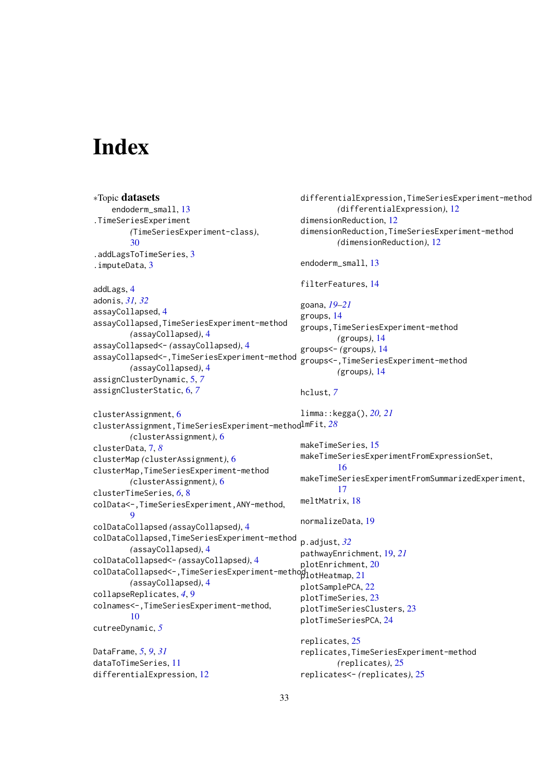# <span id="page-32-0"></span>Index

∗Topic datasets endoderm\_small, [13](#page-12-0) .TimeSeriesExperiment *(*TimeSeriesExperiment-class*)*, [30](#page-29-0) .addLagsToTimeSeries, [3](#page-2-0) .imputeData, [3](#page-2-0) addLags, [4](#page-3-0) adonis, *[31,](#page-30-0) [32](#page-31-0)* assayCollapsed, [4](#page-3-0) assayCollapsed,TimeSeriesExperiment-method *(*assayCollapsed*)*, [4](#page-3-0) assayCollapsed<- *(*assayCollapsed*)*, [4](#page-3-0) assayCollapsed<-,TimeSeriesExperiment-method *(*assayCollapsed*)*, [4](#page-3-0) assignClusterDynamic, [5,](#page-4-0) *[7](#page-6-0)* assignClusterStatic, [6,](#page-5-0) *[7](#page-6-0)* clusterAssignment, [6](#page-5-0) clusterAssignment,TimeSeriesExperiment-method lmFit, *[28](#page-27-0) (*clusterAssignment*)*, [6](#page-5-0) clusterData, [7,](#page-6-0) *[8](#page-7-0)* clusterMap *(*clusterAssignment*)*, [6](#page-5-0) clusterMap,TimeSeriesExperiment-method *(*clusterAssignment*)*, [6](#page-5-0) clusterTimeSeries, *[6](#page-5-0)*, [8](#page-7-0) colData<-,TimeSeriesExperiment,ANY-method, [9](#page-8-0) colDataCollapsed *(*assayCollapsed*)*, [4](#page-3-0) colDataCollapsed,TimeSeriesExperiment-method *(*assayCollapsed*)*, [4](#page-3-0) colDataCollapsed<- *(*assayCollapsed*)*, [4](#page-3-0) colDataCollapsed<-,TimeSeriesExperiment-method plotHeatmap, [21](#page-20-0) *(*assayCollapsed*)*, [4](#page-3-0) collapseReplicates, *[4](#page-3-0)*, [9](#page-8-0) colnames<-,TimeSeriesExperiment-method, [10](#page-9-0) cutreeDynamic, *[5](#page-4-0)* DataFrame, *[5](#page-4-0)*, *[9](#page-8-0)*, *[31](#page-30-0)* dataToTimeSeries, [11](#page-10-0) differentialExpression, [12](#page-11-0) differentialExpression,TimeSeriesExperiment-method *(*differentialExpression*)*, [12](#page-11-0) dimensionReduction, [12](#page-11-0) dimensionReduction,TimeSeriesExperiment-method *(*dimensionReduction*)*, [12](#page-11-0) endoderm\_small, [13](#page-12-0) filterFeatures, [14](#page-13-0) goana, *[19](#page-18-0)[–21](#page-20-0)* groups, [14](#page-13-0) groups,TimeSeriesExperiment-method *(*groups*)*, [14](#page-13-0) groups<- *(*groups*)*, [14](#page-13-0) groups<-,TimeSeriesExperiment-method *(*groups*)*, [14](#page-13-0) hclust, *[7](#page-6-0)* limma::kegga(), *[20,](#page-19-0) [21](#page-20-0)* makeTimeSeries, [15](#page-14-0) makeTimeSeriesExperimentFromExpressionSet, [16](#page-15-0) makeTimeSeriesExperimentFromSummarizedExperiment, [17](#page-16-0) meltMatrix, [18](#page-17-0) normalizeData, [19](#page-18-0) p.adjust, *[32](#page-31-0)* pathwayEnrichment, [19,](#page-18-0) *[21](#page-20-0)* plotEnrichment, [20](#page-19-0) plotSamplePCA, [22](#page-21-0) plotTimeSeries, [23](#page-22-0) plotTimeSeriesClusters, [23](#page-22-0) plotTimeSeriesPCA, [24](#page-23-0) replicates, [25](#page-24-0) replicates,TimeSeriesExperiment-method *(*replicates*)*, [25](#page-24-0) replicates<- *(*replicates*)*, [25](#page-24-0)